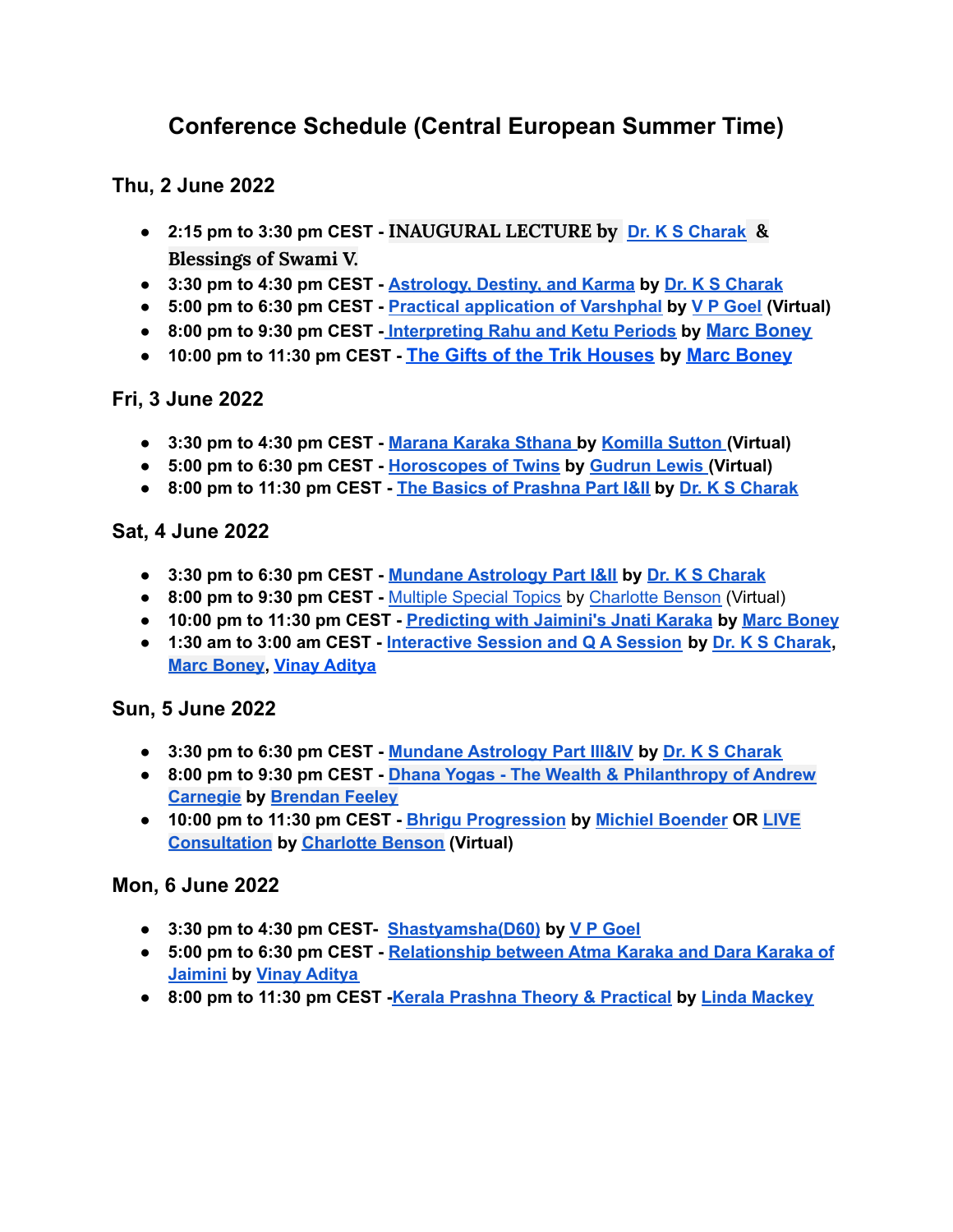# **Conference Schedule (Central European Summer Time)**

**Thu, 2 June 2022**

- **2:15 pm to 3:30 pm CEST - INAUGURAL LECTURE by Dr. K S [Charak](https://jyotish.com/dr-ks-charak) & Blessings of Swami V.**
- **3:30 pm to 4:30 pm CEST - [Astrology,](https://jyotish.com/dr-ks-charak/#topics2022) Destiny, and Karma by Dr. K S [Charak](https://jyotish.com/dr-ks-charak)**
- **● 5:00 pm to 6:30 pm CEST - Practical [application](https://jyotish.com/v-p-goel/#topics2022) of Varshphal by V P [Goel](https://jyotish.com/v-p-goel) (Virtual)**
- **8:00 pm to 9:30 pm CEST - [Interpreting](https://jyotish.com/marc-boney-2/#topics2022) Rahu and Ketu Periods by [Marc Boney](https://jyotish.com/marc-boney-2/)**
- **10:00 pm to 11:30 pm CEST - [The Gifts of the Trik](https://jyotish.com/marc-boney-2/#topics2022) Houses by [Marc Boney](https://jyotish.com/marc-boney-2/)**

## **Fri, 3 June 2022**

- **● 3:30 pm to 4:30 pm CEST - [Marana](https://jyotish.com/komillasutton/#topics2022) Karaka Sthana by [Komilla](https://jyotish.com/komillasutton) Sutton (Virtual)**
- **● 5:00 pm to 6:30 pm CEST - [Horoscopes](https://jyotish.com/gudrun_lewis/#topics2022) of Twins by [Gudrun](https://jyotish.com/gudrun_lewis) Lewis (Virtual)**
- **● 8:00 pm to 11:30 pm CEST - The Basics of [Prashna](https://jyotish.com/dr-ks-charak/#topics2022) Part I&II by Dr. K S [Charak](https://jyotish.com/dr-ks-charak)**

#### **Sat, 4 June 2022**

- **● 3:30 pm to 6:30 pm CEST - Mundane [Astrology](https://jyotish.com/dr-ks-charak/#topics2022) Part I&II by Dr. K S [Charak](https://jyotish.com/dr-ks-charak)**
- **● 8:00 pm to 9:30 pm CEST -** [Multiple](https://jyotish.com/charlottebenson/#topics2022) Special Topics by [Charlotte](https://jyotish.com/charlottebenson) Benson (Virtual)
- **● 10:00 pm to 11:30 pm CEST - [Predicting](https://jyotish.com/marc-boney-2/#topics2022) with Jaimini's Jnati Karaka by Marc [Boney](https://jyotish.com/marc-boney-2/)**
- **● 1:30 am to 3:00 am CEST - [Interactive](https://jyotish.com/dr-ks-charak/#topics2022) Session and Q A Session by Dr. K S [Charak](https://jyotish.com/dr-ks-charak), Marc [Boney](https://jyotish.com/marc-boney-2/), Vinay [Aditya](https://jyotish.com/vinay-aditya)**

## **Sun, 5 June 2022**

- **3:30 pm to 6:30 pm CEST - Mundane [Astrology](https://jyotish.com/dr-ks-charak/#topics2022) Part III&IV by Dr. K S [Charak](https://jyotish.com/dr-ks-charak)**
- **8:00 pm to 9:30 pm CEST - Dhana Yogas - The Wealth & [Philanthropy](https://jyotish.com/brendan-feeley/#topics2022) of Andrew [Carnegie](https://jyotish.com/brendan-feeley/#topics2022) by [Brendan](https://jyotish.com/brendan-feeley) Feeley**
- **10:00 pm to 11:30 pm CEST - Bhrigu [Progression](https://jyotish.com/michielboender/#topics2022) by Michiel [Boender](https://jyotish.com/michielboender) OR [LIVE](https://jyotish.com/charlottebenson/#topics2022) [Consultation](https://jyotish.com/charlottebenson/#topics2022) by [Charlotte](https://jyotish.com/charlottebenson/) Benson (Virtual)**

## **Mon, 6 June 2022**

- **● 3:30 pm to 4:30 pm CEST- [Shastyamsha\(D60\)](https://jyotish.com/v-p-goel/#topics2022) by V P [Goel](https://jyotish.com/v-p-goel)**
- **● 5:00 pm to 6:30 pm CEST - [Relationship](https://jyotish.com/vinay-aditya/#topics2022) between Atma Karaka and Dara Karaka of [Jaimini](https://jyotish.com/vinay-aditya/#topics2022) by Vinay [Aditya](https://jyotish.com/vinay-aditya)**
- **● 8:00 pm to 11:30 pm CEST -Kerala Prashna Theory & [Practical](https://jyotish.com/linda-mackey/#topics2022) by Linda [Mackey](https://jyotish.com/linda-mackey/)**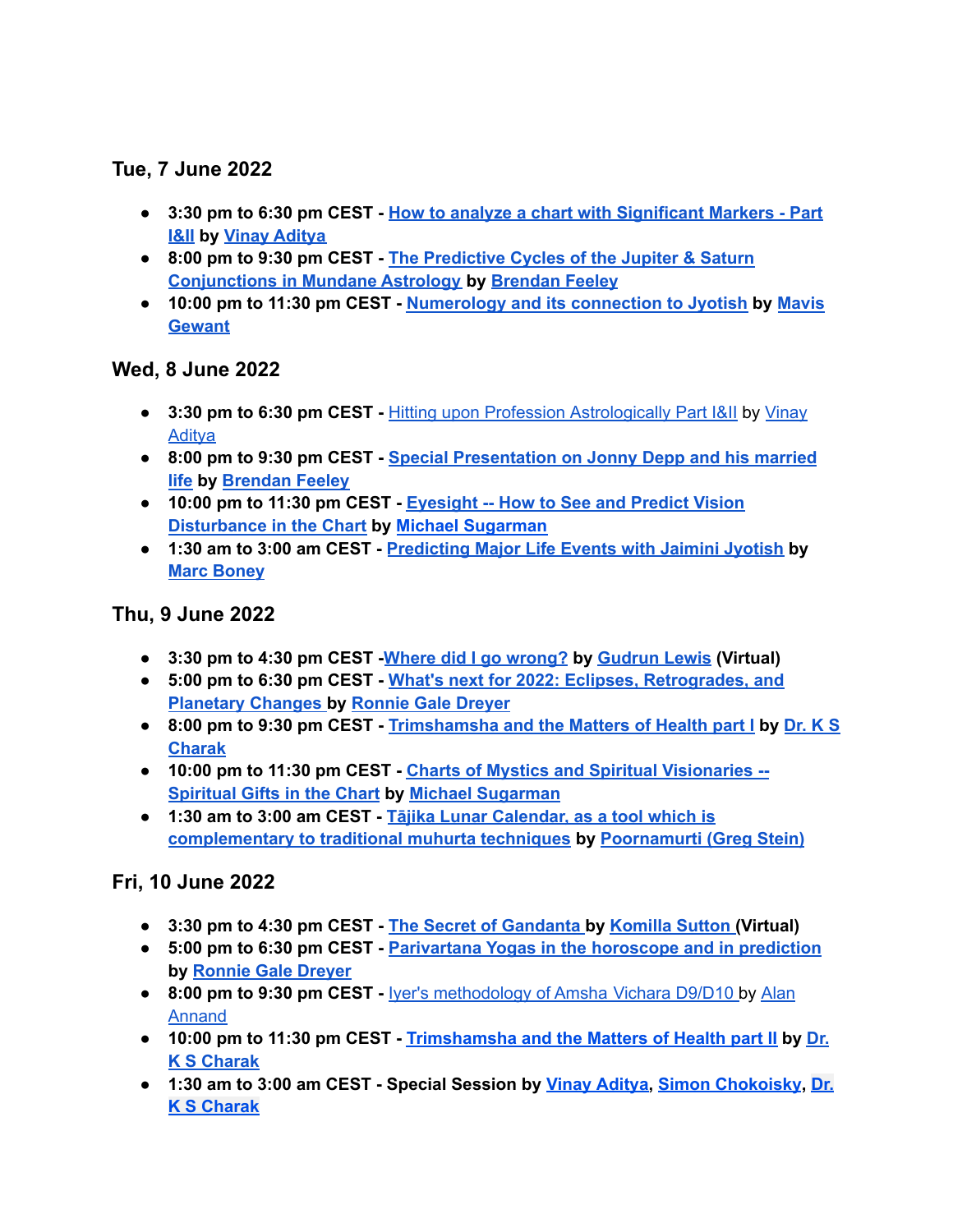# **Tue, 7 June 2022**

- **● 3:30 pm to 6:30 pm CEST - How to analyze a chart with [Significant](https://jyotish.com/vinay-aditya/#topics2022) Markers - Part [I&II](https://jyotish.com/vinay-aditya/#topics2022) by Vinay [Aditya](https://jyotish.com/vinay-aditya)**
- **● 8:00 pm to 9:30 pm CEST - The [Predictive](https://jyotish.com/brendan-feeley/topics2022) Cycles of the Jupiter & Saturn [Conjunctions](https://jyotish.com/brendan-feeley/topics2022) in Mundane Astrology by [Brendan](https://jyotish.com/brendan-feeley) Feeley**
- **● 10:00 pm to 11:30 pm CEST - [Numerology](https://jyotish.com/mavis-gewant/#topics2022) and its connection to Jyotish by [Mavis](https://jyotish.com/mavis-gewant/) [Gewant](https://jyotish.com/mavis-gewant/)**

## **Wed, 8 June 2022**

- **● 3:30 pm to 6:30 pm CEST -** Hitting upon Profession [Astrologically](https://jyotish.com/vinay-aditya/#topics2022) Part I&II by [Vinay](https://jyotish.com/vinay-aditya) **[Aditya](https://jyotish.com/vinay-aditya)**
- **● 8:00 pm to 9:30 pm CEST - Special [Presentation](https://jyotish.com/brendan-feeley/#topics2022) on Jonny Depp and his married [life](https://jyotish.com/brendan-feeley/#topics2022) by [Brendan](https://jyotish.com/brendan-feeley) Feeley**
- **● 10:00 pm to 11:30 pm CEST - [Eyesight](https://jyotish.com/michaelsugarman/#topics2022) -- How to See and Predict Vision [Disturbance](https://jyotish.com/michaelsugarman/#topics2022) in the Chart by Michael [Sugarman](https://jyotish.com/michaelsugarman/)**
- **● 1:30 am to 3:00 am CEST - [Predicting](https://jyotish.com/marc-boney-2/#topics2022) Major Life Events with Jaimini Jyotish by Marc [Boney](https://jyotish.com/marc-boney-2/)**

## **Thu, 9 June 2022**

- **● 3:30 pm to 4:30 pm CEST -Where did I go [wrong?](https://jyotish.com/gudrun_lewis/#topics2022) by [Gudrun](https://jyotish.com/gudrun_lewis/) Lewis (Virtual)**
- **● 5:00 pm to 6:30 pm CEST - What's next for 2022: Eclipses, [Retrogrades,](https://jyotish.com/ronnie_gale_dreyer/#topics2022) and [Planetary](https://jyotish.com/ronnie_gale_dreyer/#topics2022) Changes by [Ronnie](https://jyotish.com/ronnie_gale_dreyer) Gale Dreyer**
- **● 8:00 pm to 9:30 pm CEST - [Trimshamsha](https://jyotish.com/dr-ks-charak/#topics2022) and the Matters of Health part I by [Dr.](https://jyotish.com/dr-ks-charak) K S [Charak](https://jyotish.com/dr-ks-charak)**
- **● 10:00 pm to 11:30 pm CEST - Charts of Mystics and Spiritual [Visionaries](https://jyotish.com/michaelsugarman/#topics2022) -- [Spiritual](https://jyotish.com/michaelsugarman/#topics2022) Gifts in the Chart by Michael [Sugarman](https://jyotish.com/michaelsugarman/)**
- **● 1:30 am to 3:00 am CEST - Tājika Lunar [Calendar,](https://jyotish.com/poornamurti/#topics2022) as a tool which is [complementary](https://jyotish.com/poornamurti/#topics2022) to traditional muhurta techniques by [Poornamurti](https://jyotish.com/poornamurti/) (Greg Stein)**

# **Fri, 10 June 2022**

- **● 3:30 pm to 4:30 pm CEST - The Secret of [Gandanta](https://jyotish.com/komillasutton/#topics2022) by [Komilla](https://jyotish.com/komillasutton) Sutton (Virtual)**
- **● 5:00 pm to 6:30 pm CEST - [Parivartana](https://jyotish.com/ronnie_gale_dreyer/#topics2022) Yogas in the horoscope and in prediction by [Ronnie](https://jyotish.com/ronnie_gale_dreyer) Gale Dreyer**
- **● 8:00 pm to 9:30 pm CEST -** Iyer's [methodology](https://jyotish.com/alan-annand/#topics2022) of Amsha Vichara D9/D10 by [Alan](https://jyotish.com/alan-annand) [Annand](https://jyotish.com/alan-annand)
- **● 10:00 pm to 11:30 pm CEST - [Trimshamsha](https://jyotish.com/dr-ks-charak/#topics2022) and the Matters of Health part II by [Dr.](https://jyotish.com/dr-ks-charak) K S [Charak](https://jyotish.com/dr-ks-charak)**
- **● 1:30 am to 3:00 am CEST - Special Session by Vinay [Aditya,](https://jyotish.com/vinay-aditya) Simon [Chokoisky](https://jyotish.com/simonchokoisky), [Dr.](https://jyotish.com/dr-ks-charak) K S [Charak](https://jyotish.com/dr-ks-charak)**